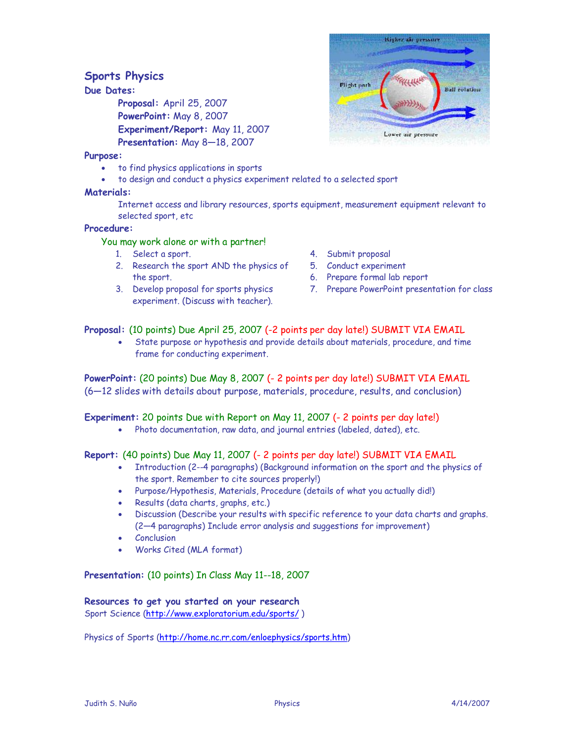# **Sports Physics**

# **Due Dates:**

**Proposal:** April 25, 2007 **PowerPoint:** May 8, 2007 **Experiment/Report:** May 11, 2007 **Presentation:** May 8—18, 2007

#### **Purpose:**

- · to find physics applications in sports
- · to design and conduct a physics experiment related to a selected sport

# **Materials:**

Internet access and library resources, sports equipment, measurement equipment relevant to selected sport, etc

### **Procedure:**

### You may work alone or with a partner!

- 1. Select a sport.
- 2. Research the sport AND the physics of the sport.
- 3. Develop proposal for sports physics experiment. (Discuss with teacher).
- 4. Submit proposal
- 5. Conduct experiment
- 6. Prepare formal lab report
- 7. Prepare PowerPoint presentation for class

# **Proposal:** (10 points) Due April 25, 2007 (-2 points per day late!) SUBMIT VIA EMAIL

State purpose or hypothesis and provide details about materials, procedure, and time frame for conducting experiment.

**PowerPoint:** (20 points) Due May 8, 2007 (- 2 points per day late!) SUBMIT VIA EMAIL (6—12 slides with details about purpose, materials, procedure, results, and conclusion)

# **Experiment:** 20 points Due with Report on May 11, 2007 (- 2 points per day late!)

· Photo documentation, raw data, and journal entries (labeled, dated), etc.

# **Report:** (40 points) Due May 11, 2007 (- 2 points per day late!) SUBMIT VIA EMAIL

- · Introduction (2--4 paragraphs) (Background information on the sport and the physics of the sport. Remember to cite sources properly!)
- · Purpose/Hypothesis, Materials, Procedure (details of what you actually did!)
- · Results (data charts, graphs, etc.)
- · Discussion (Describe your results with specific reference to your data charts and graphs. (2—4 paragraphs) Include error analysis and suggestions for improvement)
- **Conclusion**
- Works Cited (MLA format)

# **Presentation:** (10 points) In Class May 11--18, 2007

# **Resources to get you started on your research**

Sport Science (<http://www.exploratorium.edu/sports/> )

Physics of Sports [\(http://home.nc.rr.com/enloephysics/sports.htm](http://home.nc.rr.com/enloephysics/sports.htm))